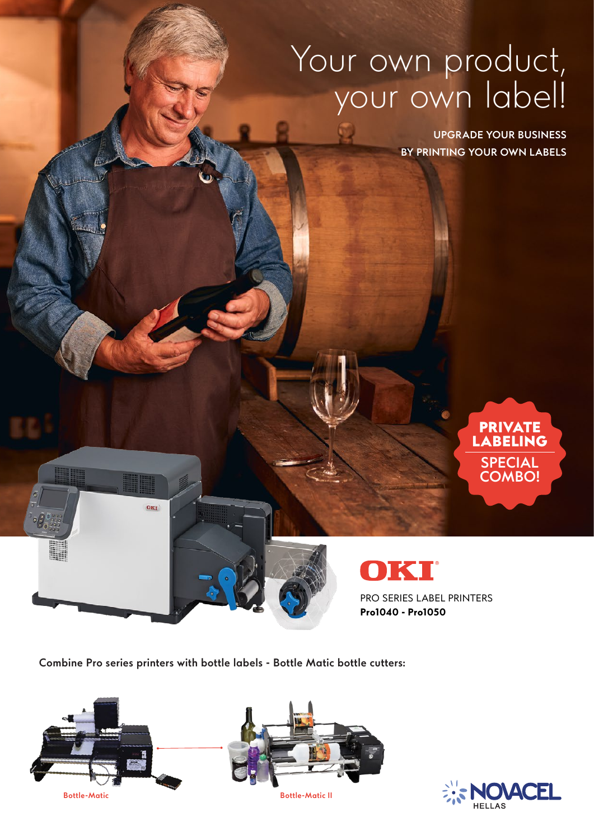# Your own product, your own label!

UPGRADE YOUR BUSINESS BY PRINTING YOUR OWN LABELS





# KIT

PRO SERIES LABEL PRINTERS **Pro1040 - Pro1050**

Combine Pro series printers with bottle labels - Bottle Matic bottle cutters:



OKI